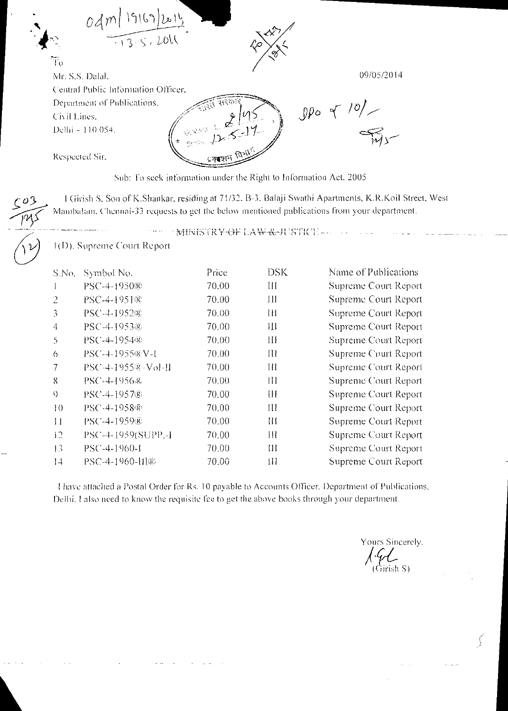| 9169 <br>od<br>$\frac{1}{1355.2011}$                                                                   |                                                                   |            |
|--------------------------------------------------------------------------------------------------------|-------------------------------------------------------------------|------------|
| $\overline{\mathrm{T}}_0$<br>Mr. S.S. Dalal.                                                           | 91                                                                | 09/05/2014 |
| Central Public Information Officer,<br>Department of Publications,<br>Civil Lines,<br>Delhi - 110 054. | त्री सरकारे<br>2195                                               | $-101$     |
| Respected Sir,                                                                                         | प्रकाशन विभाग                                                     |            |
|                                                                                                        | Sub: To seek information under the Right to Information Act, 2005 |            |

I Givish S. Son of K.Shankar, residing at 71/32. B-3. Balaji Swathi Apartments, K.R.Koil Street, West EQS End alternations of K.Shankar, residing at 71/32, B-3, Balaji Swathi Apartments, K.R.Koil Street Mambalam. Chennai-33 requests to get the below mentioned publications from your department.

MINISTRY-OF LAW-&-JUSTICE --

1(D). Supreme Court Report

| S.No.          | Symbol No.           | Price | <b>DSK</b> | Name of Publications |
|----------------|----------------------|-------|------------|----------------------|
|                | PSC-4-1950®          | 70.00 | Ш          | Supreme Court Report |
| $\overline{2}$ | PSC-4-1951®          | 70.00 | Ш          | Supreme Court Report |
| 3              | PSC-4-1952®          | 70.00 | Ш          | Supreme Court Report |
| $\overline{4}$ | PSC-4-1953®          | 70.00 | Ш          | Supreme Court Report |
| 5              | PSC-4-1954®          | 70.00 | Ш          | Supreme Court Report |
| 6              | PSC-4-1955®N-I       | 70.00 | Щ          | Supreme Court Report |
| 7              | PSC-4-1955®-Vol-II   | 70.00 | Ш          | Supreme Court Report |
| $\mathbf{8}$   | PSC-4-1956&          | 70.00 | Ш          | Supreme Court Report |
| $\Omega$       | PSC-4-1957®          | 70.00 | Ш          | Supreme Court Report |
| 10             | PSC-4-1958®          | 70.00 | Ш          | Supreme Court Report |
| $\frac{1}{2}$  | PSC-4-1959®          | 70.00 | Ш          | Supreme Court Report |
| 12             | PSC-4-1959(SUPP.-1   | 70.00 | Ш          | Supreme Court Report |
| 13             | $PSC - 4 - 1960 - 1$ | 70.00 | Ш          | Supreme Court Report |
| 14             | PSC-4-1960-Hl®       | 70.00 | 111        | Supreme Court Report |

I have attached *a* Postal Order Ibr Rs. 10 payable to Accounts Officer, Department of Publications, Delhi. I also need to know the requisite fee to get the above books through your department.

Yours Sincerely, (Girish S).

 $\left($